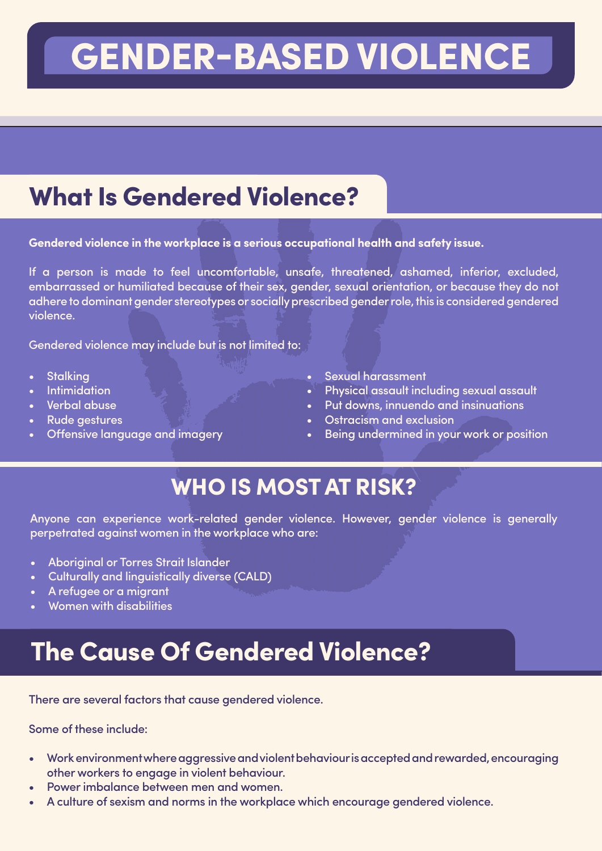# GENDER-BASED VIOLENCE

### **What Is Gendered Violence?**

**Gendered violence in the workplace is a serious occupational health and safety issue.**

If a person is made to feel uncomfortable, unsafe, threatened, ashamed, inferior, excluded, embarrassed or humiliated because of their sex, gender, sexual orientation, or because they do not adhere to dominant gender stereotypes or socially prescribed gender role, this is considered gendered violence.

Gendered violence may include but is not limited to:

- **Stalking**
- **Intimidation**
- Verbal abuse
- Rude aestures
- Offensive language and imagery
- Sexual harassment
- Physical assault including sexual assault
- Put downs, innuendo and insinuations
- Ostracism and exclusion
- Being undermined in your work or position

#### WHO IS MOST AT RISK?

Anyone can experience work-related gender violence. However, gender violence is generally perpetrated against women in the workplace who are:

- Aboriginal or Torres Strait Islander
- Culturally and linguistically diverse (CALD)
- A refugee or a migrant
- Women with disabilities

#### The Cause Of Gendered Violence?

There are several factors that cause gendered violence.

Some of these include:

- Work environment where aggressive and violent behaviour is accepted and rewarded, encouraging other workers to engage in violent behaviour.
- Power imbalance between men and women.
- A culture of sexism and norms in the workplace which encourage gendered violence.